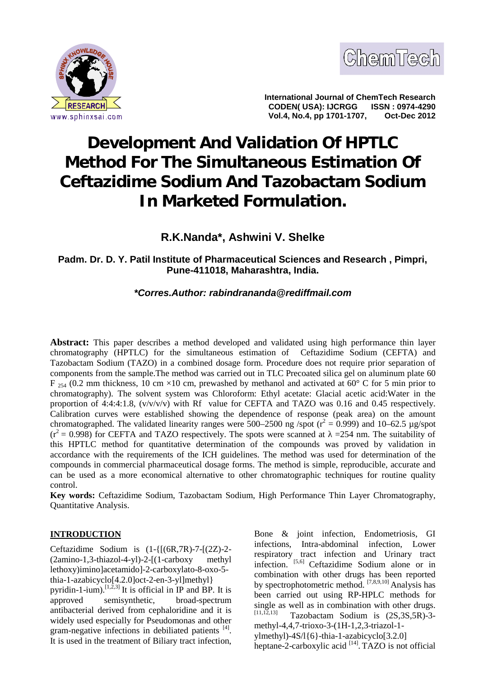



**International Journal of ChemTech Research CODEN( USA): IJCRGG ISSN : 0974-4290 Vol.4, No.4, pp 1701-1707,** 

# **Development And Validation Of HPTLC Method For The Simultaneous Estimation Of Ceftazidime Sodium And Tazobactam Sodium In Marketed Formulation.**

## **R.K.Nanda\*, Ashwini V. Shelke**

## **Padm. Dr. D. Y. Patil Institute of Pharmaceutical Sciences and Research , Pimpri, Pune-411018, Maharashtra, India.**

## *\*Corres.Author: rabindrananda@rediffmail.com*

**Abstract:** This paper describes a method developed and validated using high performance thin layer chromatography (HPTLC) for the simultaneous estimation of Ceftazidime Sodium (CEFTA) and Tazobactam Sodium (TAZO) in a combined dosage form. Procedure does not require prior separation of components from the sample.The method was carried out in TLC Precoated silica gel on aluminum plate 60  $F_{254}$  (0.2 mm thickness, 10 cm ×10 cm, prewashed by methanol and activated at 60° C for 5 min prior to chromatography). The solvent system was Chloroform: Ethyl acetate: Glacial acetic acid:Water in the proportion of 4:4:4:1.8,  $(v/v/v/v)$  with Rf value for CEFTA and TAZO was 0.16 and 0.45 respectively. Calibration curves were established showing the dependence of response (peak area) on the amount chromatographed. The validated linearity ranges were 500–2500 ng /spot ( $r^2 = 0.999$ ) and 10–62.5 µg/spot  $(r^2 = 0.998)$  for CEFTA and TAZO respectively. The spots were scanned at  $=$  =254 nm. The suitability of this HPTLC method for quantitative determination of the compounds was proved by validation in accordance with the requirements of the ICH guidelines. The method was used for determination of the compounds in commercial pharmaceutical dosage forms. The method is simple, reproducible, accurate and can be used as a more economical alternative to other chromatographic techniques for routine quality control.

**Key words:** Ceftazidime Sodium, Tazobactam Sodium, High Performance Thin Layer Chromatography, Quantitative Analysis.

## **INTRODUCTION**

Ceftazidime Sodium is (1-{[(6R,7R)-7-[(2Z)-2- (2amino-1,3-thiazol-4-yl)-2-[(1-carboxy methyl lethoxy)imino]acetamido]-2-carboxylato-8-oxo-5 thia-1-azabicyclo[4.2.0]oct-2-en-3-yl]methyl} pyridin-1-ium).<sup>[1,2,3]</sup> It is official in IP and BP. It is approved semisynthetic, broad-spectrum antibacterial derived from cephaloridine and it is  $\sum_{[11,12,13]}^{\text{single}}$ widely used especially for Pseudomonas and other gram-negative infections in debiliated patients [4]. It is used in the treatment of Biliary tract infection,

Bone & joint infection, Endometriosis, GI infections, Intra-abdominal infection, Lower respiratory tract infection and Urinary tract infection. [5,6] Ceftazidime Sodium alone or in combination with other drugs has been reported by spectrophotometric method. [7,8,9,10] Analysis has been carried out using RP-HPLC methods for single as well as in combination with other drugs. Tazobactam Sodium is  $(2S, 3S, 5R)$ -3methyl-4,4,7-trioxo-3-(1H-1,2,3-triazol-1 ylmethyl)-4S/l{6}-thia-1-azabicyclo[3.2.0] heptane-2-carboxylic acid  $[14]$ . TAZO is not official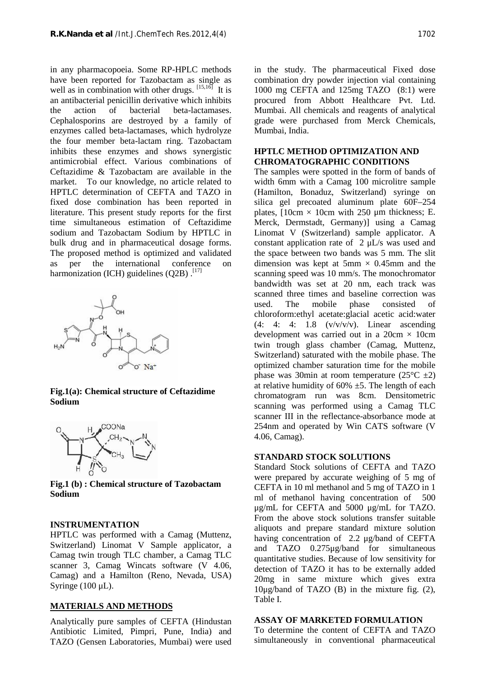in any pharmacopoeia. Some RP-HPLC methods have been reported for Tazobactam as single as well as in combination with other drugs.  $[15,16]$  It is an antibacterial penicillin derivative which inhibits the action of bacterial beta-lactamases. Cephalosporins are destroyed by a family of enzymes called beta-lactamases, which hydrolyze the four member beta-lactam ring. Tazobactam inhibits these enzymes and shows synergistic antimicrobial effect. Various combinations of Ceftazidime & Tazobactam are available in the market. To our knowledge, no article related to HPTLC determination of CEFTA and TAZO in fixed dose combination has been reported in literature. This present study reports for the first time simultaneous estimation of Ceftazidime sodium and Tazobactam Sodium by HPTLC in bulk drug and in pharmaceutical dosage forms. The proposed method is optimized and validated as per the international conference on harmonization (ICH) guidelines (Q2B).<sup>[17]</sup>



**Fig.1(a): Chemical structure of Ceftazidime Sodium**



**Fig.1 (b) : Chemical structure of Tazobactam Sodium**

## **INSTRUMENTATION**

HPTLC was performed with a Camag (Muttenz, Switzerland) Linomat V Sample applicator, a Camag twin trough TLC chamber, a Camag TLC scanner 3, Camag Wincats software (V 4.06, Camag) and a Hamilton (Reno, Nevada, USA) Syringe (100 μL).

## **MATERIALS AND METHODS**

Analytically pure samples of CEFTA (Hindustan Antibiotic Limited, Pimpri, Pune, India) and TAZO (Gensen Laboratories, Mumbai) were used in the study. The pharmaceutical Fixed dose combination dry powder injection vial containing 1000 mg CEFTA and 125mg TAZO (8:1) were procured from Abbott Healthcare Pvt. Ltd. Mumbai. All chemicals and reagents of analytical grade were purchased from Merck Chemicals, Mumbai, India.

#### **HPTLC METHOD OPTIMIZATION AND CHROMATOGRAPHIC CONDITIONS**

The samples were spotted in the form of bands of width 6mm with a Camag 100 microlitre sample (Hamilton, Bonaduz, Switzerland) syringe on silica gel precoated aluminum plate 60F–254 plates,  $10cm \times 10cm$  with 250 µm thickness; E. Merck, Dermstadt, Germany)] using a Camag Linomat V (Switzerland) sample applicator. A constant application rate of 2 μL/s was used and the space between two bands was 5 mm. The slit dimension was kept at  $5 \text{mm} \times 0.45 \text{mm}$  and the scanning speed was 10 mm/s. The monochromator bandwidth was set at 20 nm, each track was scanned three times and baseline correction was used. The mobile phase consisted of chloroform:ethyl acetate:glacial acetic acid:water  $(4: 4: 4: 1.8 \quad (v/v/v/v)$ . Linear ascending development was carried out in a  $20 \text{cm} \times 10 \text{cm}$ twin trough glass chamber (Camag, Muttenz, Switzerland) saturated with the mobile phase. The optimized chamber saturation time for the mobile phase was 30min at room temperature  $(25^{\circ}C \pm 2)$ at relative humidity of  $60\% \pm 5$ . The length of each chromatogram run was 8cm. Densitometric scanning was performed using a Camag TLC scanner III in the reflectance-absorbance mode at 254nm and operated by Win CATS software (V 4.06, Camag).

#### **STANDARD STOCK SOLUTIONS**

Standard Stock solutions of CEFTA and TAZO were prepared by accurate weighing of 5 mg of CEFTA in 10 ml methanol and 5 mg of TAZO in 1 ml of methanol having concentration of 500 μg/mL for CEFTA and 5000 μg/mL for TAZO. From the above stock solutions transfer suitable aliquots and prepare standard mixture solution having concentration of 2.2 μg/band of CEFTA and TAZO 0.275μg/band for simultaneous quantitative studies. Because of low sensitivity for detection of TAZO it has to be externally added 20mg in same mixture which gives extra 10μg/band of TAZO (B) in the mixture fig. (2), Table I.

#### **ASSAY OF MARKETED FORMULATION**

To determine the content of CEFTA and TAZO simultaneously in conventional pharmaceutical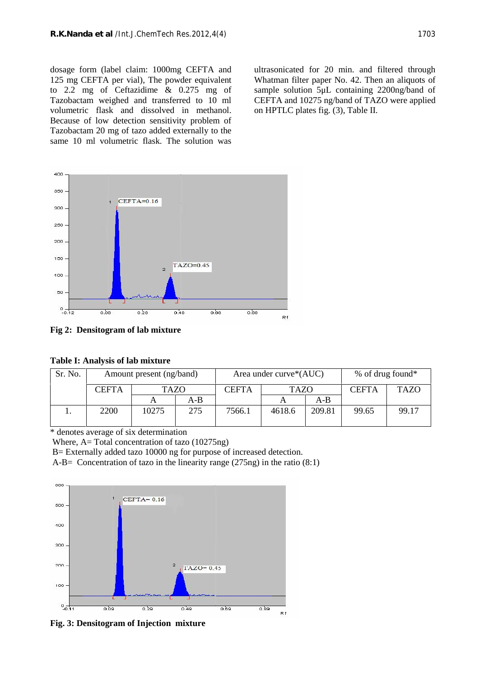dosage form (label claim: 1000mg CEFTA and 125 mg CEFTA per vial), The powder equivalent to 2.2 mg of Ceftazidime & 0.275 mg of Tazobactam weighed and transferred to 10 ml volumetric flask and dissolved in methanol. Because of low detection sensitivity problem of Tazobactam 20 mg of tazo added externally to the same 10 ml volumetric flask. The solution was

ultrasonicated for 20 min. and filtered through Whatman filter paper No. 42. Then an aliquots of sample solution 5μL containing 2200ng/band of CEFTA and 10275 ng/band of TAZO were applied on HPTLC plates fig. (3), Table II.



**Fig 2: Densitogram of lab mixture**

| Sr. No. | Amount present (ng/band) |             |     | Area under curve*(AUC) |             |        | $%$ of drug found* |             |
|---------|--------------------------|-------------|-----|------------------------|-------------|--------|--------------------|-------------|
|         | <b>CEFTA</b>             | <b>TAZO</b> |     | <b>CEFTA</b>           | <b>TAZO</b> |        | <b>CEFTA</b>       | <b>TAZO</b> |
|         |                          |             | A-B |                        |             | $A-B$  |                    |             |
|         | 2200                     | 10275       | 275 | 7566.1                 | 4618.6      | 209.81 | 99.65              | 99.17       |

\* denotes average of six determination

Where, A= Total concentration of tazo (10275ng)

B= Externally added tazo 10000 ng for purpose of increased detection.

A-B= Concentration of tazo in the linearity range (275ng) in the ratio (8:1)



**Fig. 3: Densitogram of Injection mixture**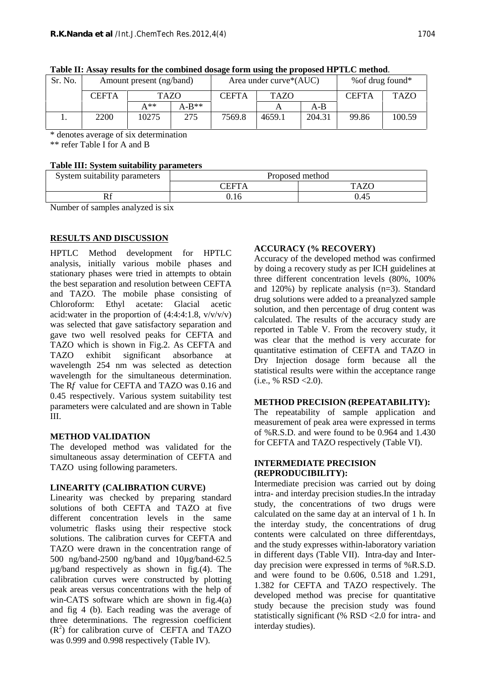|  |  | Table II: Assay results for the combined dosage form using the proposed HPTLC method. |
|--|--|---------------------------------------------------------------------------------------|
|  |  |                                                                                       |
|  |  |                                                                                       |

\* denotes average of six determination

\*\* refer Table I for A and B

## **Table III: System suitability parameters**

| System suitability parameters | Proposed method |             |  |
|-------------------------------|-----------------|-------------|--|
|                               | <b>CEFTA</b>    | <b>TAZO</b> |  |
| w                             | J.16            | 0.45        |  |

Number of samples analyzed is six

## **RESULTS AND DISCUSSION**

HPTLC Method development for HPTLC analysis, initially various mobile phases and stationary phases were tried in attempts to obtain the best separation and resolution between CEFTA and TAZO. The mobile phase consisting of Chloroform: Ethyl acetate: Glacial acetic acid:water in the proportion of  $(4:4:4:1.8, v/v/v/v)$ was selected that gave satisfactory separation and gave two well resolved peaks for CEFTA and TAZO which is shown in Fig.2. As CEFTA and TAZO exhibit significant absorbance at wavelength 254 nm was selected as detection wavelength for the simultaneous determination. The R*f* value for CEFTA and TAZO was 0.16 and 0.45 respectively. Various system suitability test parameters were calculated and are shown in Table III.

## **METHOD VALIDATION**

The developed method was validated for the simultaneous assay determination of CEFTA and TAZO using following parameters.

## **LINEARITY (CALIBRATION CURVE)**

Linearity was checked by preparing standard solutions of both CEFTA and TAZO at five different concentration levels in the same volumetric flasks using their respective stock solutions. The calibration curves for CEFTA and TAZO were drawn in the concentration range of 500 ng/band-2500 ng/band and 10µg/band-62.5 µg/band respectively as shown in fig.(4). The calibration curves were constructed by plotting peak areas versus concentrations with the help of win-CATS software which are shown in fig.4(a) and fig 4 (b). Each reading was the average of three determinations. The regression coefficient  $(R<sup>2</sup>)$  for calibration curve of CEFTA and TAZO was 0.999 and 0.998 respectively (Table IV).

## **ACCURACY (% RECOVERY)**

Accuracy of the developed method was confirmed by doing a recovery study as per ICH guidelines at three different concentration levels (80%, 100% and 120%) by replicate analysis (n=3). Standard drug solutions were added to a preanalyzed sample solution, and then percentage of drug content was calculated. The results of the accuracy study are reported in Table V. From the recovery study, it was clear that the method is very accurate for quantitative estimation of CEFTA and TAZO in Dry Injection dosage form because all the statistical results were within the acceptance range  $(i.e., % RSD < 2.0).$ 

#### **METHOD PRECISION (REPEATABILITY):**

The repeatability of sample application and measurement of peak area were expressed in terms of %R.S.D. and were found to be 0.964 and 1.430 for CEFTA and TAZO respectively (Table VI).

#### **INTERMEDIATE PRECISION (REPRODUCIBILITY):**

Intermediate precision was carried out by doing intra- and interday precision studies.In the intraday study, the concentrations of two drugs were calculated on the same day at an interval of 1 h. In the interday study, the concentrations of drug contents were calculated on three differentdays, and the study expresses within-laboratory variation in different days (Table VII). Intra-day and Inter day precision were expressed in terms of %R.S.D. and were found to be 0.606, 0.518 and 1.291, 1.382 for CEFTA and TAZO respectively. The developed method was precise for quantitative study because the precision study was found statistically significant (% RSD <2.0 for intra- and interday studies).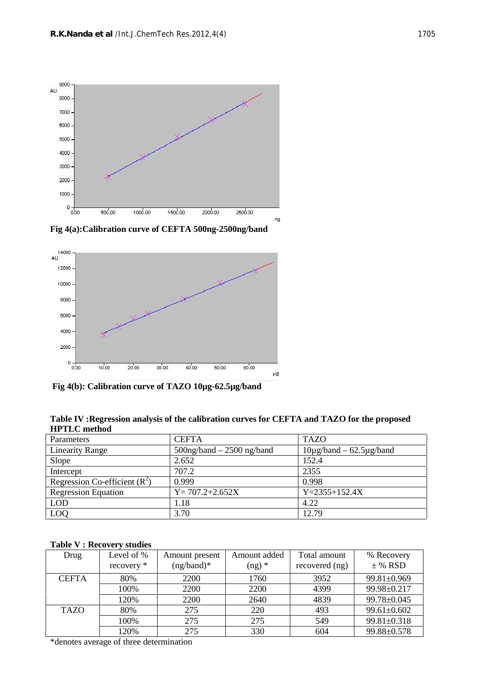

**Fig 4(a):Calibration curve of CEFTA 500ng-2500ng/band**



**Fig 4(b): Calibration curve of TAZO 10µg-62.5µg/band**

| Table IV : Regression analysis of the calibration curves for CEFTA and TAZO for the proposed |  |
|----------------------------------------------------------------------------------------------|--|
| <b>HPTLC</b> method                                                                          |  |

| Parameters                     | <b>CEFTA</b>                  | <b>TAZO</b>                        |
|--------------------------------|-------------------------------|------------------------------------|
| <b>Linearity Range</b>         | $500$ ng/band $-2500$ ng/band | $10\mu$ g/band – 62.5 $\mu$ g/band |
| Slope                          | 2.652                         | 152.4                              |
| Intercept                      | 707.2                         | 2355                               |
| Regression Co-efficient $(R2)$ | 0.999                         | 0.998                              |
| <b>Regression Equation</b>     | $Y = 707.2 + 2.652X$          | $Y = 2355 + 152.4X$                |
| <b>LOD</b>                     | 1.18                          | 4.22                               |
| LOQ                            | 3.70                          | 12.79                              |

### **Table V : Recovery studies**

| Drug         | Level of %<br>recovery * | Amount present<br>$(ng/band)*$ | Amount added<br>$(ng)$ * | Total amount<br>recovered (ng) | % Recovery<br>$±$ % RSD |
|--------------|--------------------------|--------------------------------|--------------------------|--------------------------------|-------------------------|
| <b>CEFTA</b> | 80%                      | 2200                           | 1760                     | 3952                           | $99.81 \pm 0.969$       |
|              | 100%                     | 2200                           | 2200                     | 4399                           | 99.98±0.217             |
|              | 120%                     | 2200                           | 2640                     | 4839                           | 99.78±0.045             |
| <b>TAZO</b>  | 80%                      | 275                            | 220                      | 493                            | $99.61 \pm 0.602$       |
|              | 100%                     | 275                            | 275                      | 549                            | $99.81 \pm 0.318$       |
|              | 120%                     | 275                            | 330                      | 604                            | 99.88±0.578             |

\*denotes average of three determination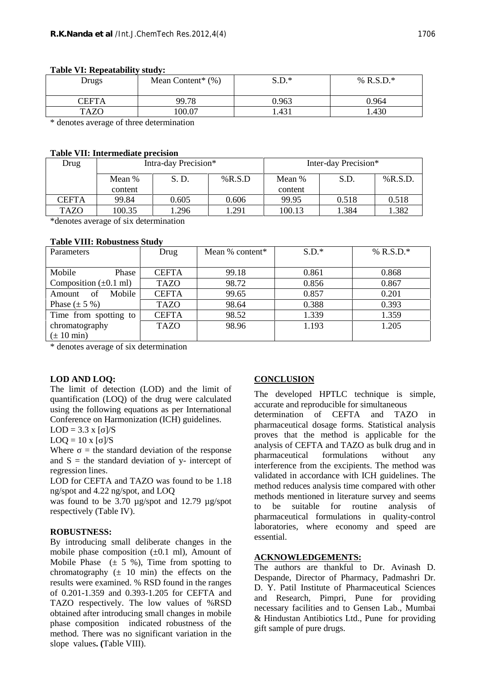| Drugs       | Mean Content <sup>*</sup> $(\%)$ | $S.D.*$ | % R.S.D. $*$ |
|-------------|----------------------------------|---------|--------------|
| CEFTA       | 99.78                            | 0.963   | 0.964        |
| <b>TAZO</b> | 00.07                            | 1.431   | 1.430        |

#### **Table VI: Repeatability study:**

\* denotes average of three determination

#### **Table VII: Intermediate precision**

| Drug         | Intra-day Precision* |       |           | Inter-day Precision* |       |            |
|--------------|----------------------|-------|-----------|----------------------|-------|------------|
|              | Mean %               | S.D.  | % $R.S.D$ | Mean %               | S.D.  | $%$ R.S.D. |
|              | content              |       |           | content              |       |            |
| <b>CEFTA</b> | 99.84                | 0.605 | 0.606     | 99.95                | 0.518 | 0.518      |
| <b>TAZO</b>  | 100.35               | 1.296 | .291      | 100.13               | 1.384 | 1.382      |

\*denotes average of six determination

#### **Table VIII: Robustness Study**

| Parameters                         | Drug         | Mean $%$ content <sup>*</sup> | $S.D.*$ | % $R.S.D.*$ |
|------------------------------------|--------------|-------------------------------|---------|-------------|
|                                    |              |                               |         |             |
| Mobile<br>Phase                    | <b>CEFTA</b> | 99.18                         | 0.861   | 0.868       |
| Composition $(\pm 0.1 \text{ ml})$ | <b>TAZO</b>  | 98.72                         | 0.856   | 0.867       |
| Mobile<br>of<br>Amount             | <b>CEFTA</b> | 99.65                         | 0.857   | 0.201       |
| Phase $(\pm 5 \%)$                 | <b>TAZO</b>  | 98.64                         | 0.388   | 0.393       |
| Time from spotting to              | <b>CEFTA</b> | 98.52                         | 1.339   | 1.359       |
| chromatography                     | <b>TAZO</b>  | 98.96                         | 1.193   | 1.205       |
| $(\pm 10 \text{ min})$             |              |                               |         |             |

\* denotes average of six determination

#### **LOD AND LOQ:**

The limit of detection (LOD) and the limit of quantification (LOQ) of the drug were calculated using the following equations as per International Conference on Harmonization (ICH) guidelines.

 $LOD = 3.3 x$  [ ]/S

 $LOQ = 10 x \,[\;] / S$ 

Where  $=$  the standard deviation of the response and  $S =$  the standard deviation of y- intercept of regression lines.

LOD for CEFTA and TAZO was found to be 1.18 ng/spot and 4.22 ng/spot, and LOQ

was found to be 3.70 µg/spot and 12.79 µg/spot respectively (Table IV).

#### **ROBUSTNESS:**

By introducing small deliberate changes in the mobile phase composition  $(\pm 0.1 \text{ ml})$ , Amount of Mobile Phase  $(\pm 5 \%)$ , Time from spotting to chromatography  $(± 10 min)$  the effects on the results were examined. % RSD found in the ranges of 0.201-1.359 and 0.393-1.205 for CEFTA and TAZO respectively. The low values of %RSD obtained after introducing small changes in mobile phase composition indicated robustness of the method. There was no significant variation in the slope values**. (**Table VIII).

#### **CONCLUSION**

The developed HPTLC technique is simple, accurate and reproducible for simultaneous

determination of CEFTA and TAZO in pharmaceutical dosage forms. Statistical analysis proves that the method is applicable for the analysis of CEFTA and TAZO as bulk drug and in pharmaceutical formulations without any interference from the excipients. The method was validated in accordance with ICH guidelines. The method reduces analysis time compared with other methods mentioned in literature survey and seems to be suitable for routine analysis of pharmaceutical formulations in quality-control laboratories, where economy and speed are essential.

#### **ACKNOWLEDGEMENTS:**

The authors are thankful to Dr. Avinash D. Despande, Director of Pharmacy, Padmashri Dr. D. Y. Patil Institute of Pharmaceutical Sciences and Research, Pimpri, Pune for providing necessary facilities and to Gensen Lab., Mumbai & Hindustan Antibiotics Ltd., Pune for providing gift sample of pure drugs.